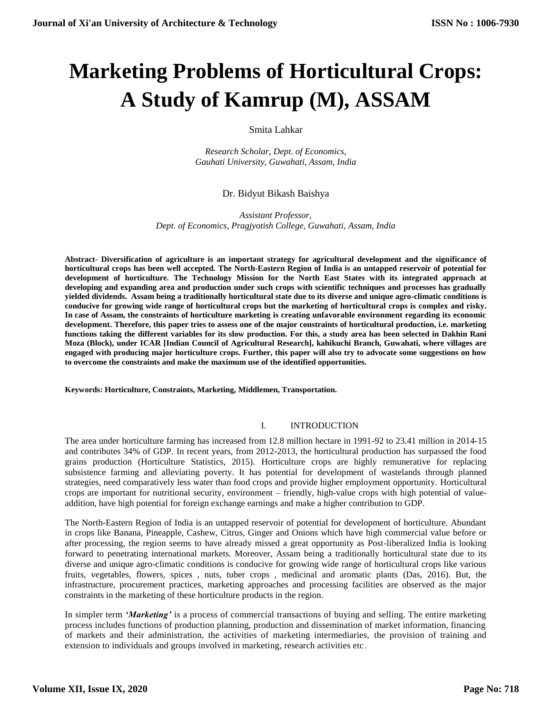# **Marketing Problems of Horticultural Crops: A Study of Kamrup (M), ASSAM**

Smita Lahkar

*Research Scholar, Dept. of Economics, Gauhati University, Guwahati, Assam, India*

# Dr. Bidyut Bikash Baishya

*Assistant Professor, Dept. of Economics, Pragjyotish College, Guwahati, Assam, India*

**Abstract- Diversification of agriculture is an important strategy for agricultural development and the significance of horticultural crops has been well accepted. The North-Eastern Region of India is an untapped reservoir of potential for development of horticulture. The Technology Mission for the North East States with its integrated approach at developing and expanding area and production under such crops with scientific techniques and processes has gradually yielded dividends. Assam being a traditionally horticultural state due to its diverse and unique agro-climatic conditions is conducive for growing wide range of horticultural crops but the marketing of horticultural crops is complex and risky. In case of Assam, the constraints of horticulture marketing is creating unfavorable environment regarding its economic development. Therefore, this paper tries to assess one of the major constraints of horticultural production, i.e. marketing functions taking the different variables for its slow production. For this, a study area has been selected in Dakhin Rani Moza (Block), under ICAR [Indian Council of Agricultural Research], kahikuchi Branch, Guwahati, where villages are engaged with producing major horticulture crops. Further, this paper will also try to advocate some suggestions on how to overcome the constraints and make the maximum use of the identified opportunities.**

**Keywords: Horticulture, Constraints, Marketing, Middlemen, Transportation.**

## I. INTRODUCTION

The area under horticulture farming has increased from 12.8 million hectare in 1991-92 to 23.41 million in 2014-15 and contributes 34% of GDP. In recent years, from 2012-2013, the horticultural production has surpassed the food grains production (Horticulture Statistics, 2015). Horticulture crops are highly remunerative for replacing subsistence farming and alleviating poverty. It has potential for development of wastelands through planned strategies, need comparatively less water than food crops and provide higher employment opportunity. Horticultural crops are important for nutritional security, environment – friendly, high-value crops with high potential of valueaddition, have high potential for foreign exchange earnings and make a higher contribution to GDP.

The North-Eastern Region of India is an untapped reservoir of potential for development of horticulture. Abundant in crops like Banana, Pineapple, Cashew, Citrus, Ginger and Onions which have high commercial value before or after processing, the region seems to have already missed a great opportunity as Post-liberalized India is looking forward to penetrating international markets. Moreover, Assam being a traditionally horticultural state due to its diverse and unique agro-climatic conditions is conducive for growing wide range of horticultural crops like various fruits, vegetables, flowers, spices , nuts, tuber crops , medicinal and aromatic plants (Das, 2016). But, the infrastructure, procurement practices, marketing approaches and processing facilities are observed as the major constraints in the marketing of these horticulture products in the region.

In simpler term *'Marketing'* is a process of commercial transactions of buying and selling. The entire marketing process includes functions of production planning, production and dissemination of market information, financing of markets and their administration, the activities of marketing intermediaries, the provision of training and extension to individuals and groups involved in marketing, research activities etc.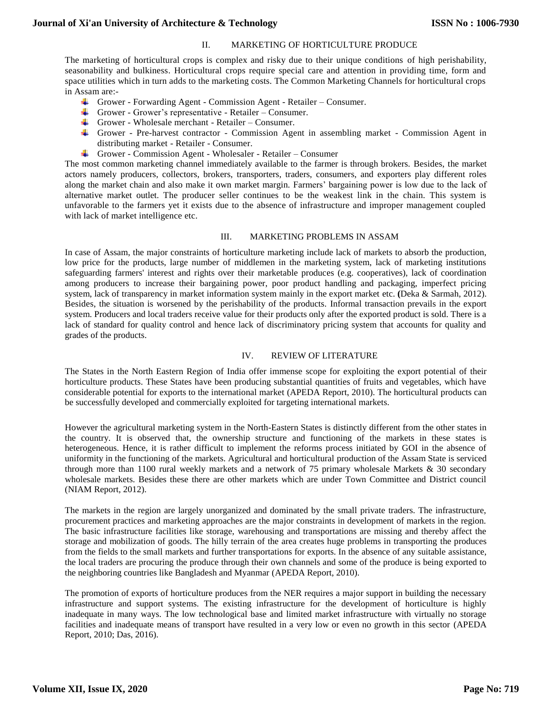# II. MARKETING OF HORTICULTURE PRODUCE

The marketing of horticultural crops is complex and risky due to their unique conditions of high perishability, seasonability and bulkiness. Horticultural crops require special care and attention in providing time, form and space utilities which in turn adds to the marketing costs. The Common Marketing Channels for horticultural crops in Assam are:-

- Grower Forwarding Agent Commission Agent Retailer Consumer.
- Grower Grower's representative Retailer Consumer.
- Grower Wholesale merchant Retailer Consumer.
- Grower Pre-harvest contractor Commission Agent in assembling market Commission Agent in distributing market - Retailer - Consumer.
- Grower Commission Agent Wholesaler Retailer Consumer

The most common marketing channel immediately available to the farmer is through brokers. Besides, the market actors namely producers, collectors, brokers, transporters, traders, consumers, and exporters play different roles along the market chain and also make it own market margin. Farmers' bargaining power is low due to the lack of alternative market outlet. The producer seller continues to be the weakest link in the chain. This system is unfavorable to the farmers yet it exists due to the absence of infrastructure and improper management coupled with lack of market intelligence etc.

## III. MARKETING PROBLEMS IN ASSAM

In case of Assam, the major constraints of horticulture marketing include lack of markets to absorb the production, low price for the products, large number of middlemen in the marketing system, lack of marketing institutions safeguarding farmers' interest and rights over their marketable produces (e.g. cooperatives), lack of coordination among producers to increase their bargaining power, poor product handling and packaging, imperfect pricing system, lack of transparency in market information system mainly in the export market etc. **(**Deka & Sarmah, 2012). Besides, the situation is worsened by the perishability of the products. Informal transaction prevails in the export system. Producers and local traders receive value for their products only after the exported product is sold. There is a lack of standard for quality control and hence lack of discriminatory pricing system that accounts for quality and grades of the products.

## IV. REVIEW OF LITERATURE

The States in the North Eastern Region of India offer immense scope for exploiting the export potential of their horticulture products. These States have been producing substantial quantities of fruits and vegetables, which have considerable potential for exports to the international market (APEDA Report, 2010). The horticultural products can be successfully developed and commercially exploited for targeting international markets.

However the agricultural marketing system in the North-Eastern States is distinctly different from the other states in the country. It is observed that, the ownership structure and functioning of the markets in these states is heterogeneous. Hence, it is rather difficult to implement the reforms process initiated by GOI in the absence of uniformity in the functioning of the markets. Agricultural and horticultural production of the Assam State is serviced through more than 1100 rural weekly markets and a network of 75 primary wholesale Markets  $\&$  30 secondary wholesale markets. Besides these there are other markets which are under Town Committee and District council (NIAM Report, 2012).

The markets in the region are largely unorganized and dominated by the small private traders. The infrastructure, procurement practices and marketing approaches are the major constraints in development of markets in the region. The basic infrastructure facilities like storage, warehousing and transportations are missing and thereby affect the storage and mobilization of goods. The hilly terrain of the area creates huge problems in transporting the produces from the fields to the small markets and further transportations for exports. In the absence of any suitable assistance, the local traders are procuring the produce through their own channels and some of the produce is being exported to the neighboring countries like Bangladesh and Myanmar (APEDA Report, 2010).

The promotion of exports of horticulture produces from the NER requires a major support in building the necessary infrastructure and support systems. The existing infrastructure for the development of horticulture is highly inadequate in many ways. The low technological base and limited market infrastructure with virtually no storage facilities and inadequate means of transport have resulted in a very low or even no growth in this sector (APEDA Report, 2010; Das, 2016).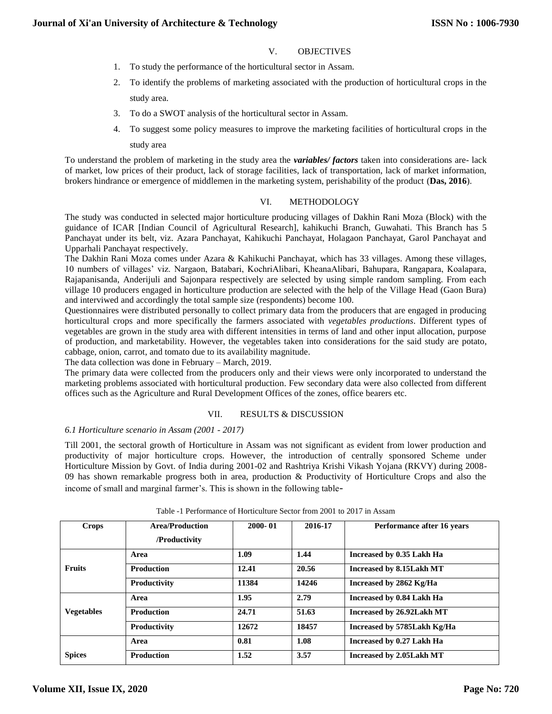- V. OBJECTIVES
- 1. To study the performance of the horticultural sector in Assam.
- 2. To identify the problems of marketing associated with the production of horticultural crops in the study area.
- 3. To do a SWOT analysis of the horticultural sector in Assam.
- 4. To suggest some policy measures to improve the marketing facilities of horticultural crops in the study area

To understand the problem of marketing in the study area the *variables/ factors* taken into considerations are- lack of market, low prices of their product, lack of storage facilities, lack of transportation, lack of market information, brokers hindrance or emergence of middlemen in the marketing system, perishability of the product (**Das, 2016**).

## VI. METHODOLOGY

The study was conducted in selected major horticulture producing villages of Dakhin Rani Moza (Block) with the guidance of ICAR [Indian Council of Agricultural Research], kahikuchi Branch, Guwahati. This Branch has 5 Panchayat under its belt, viz. Azara Panchayat, Kahikuchi Panchayat, Holagaon Panchayat, Garol Panchayat and Upparhali Panchayat respectively.

The Dakhin Rani Moza comes under Azara & Kahikuchi Panchayat, which has 33 villages. Among these villages, 10 numbers of villages' viz. Nargaon, Batabari, KochriAlibari, KheanaAlibari, Bahupara, Rangapara, Koalapara, Rajapanisanda, Anderijuli and Sajonpara respectively are selected by using simple random sampling. From each village 10 producers engaged in horticulture production are selected with the help of the Village Head (Gaon Bura) and interviwed and accordingly the total sample size (respondents) become 100.

Questionnaires were distributed personally to collect primary data from the producers that are engaged in producing horticultural crops and more specifically the farmers associated with *vegetables productions*. Different types of vegetables are grown in the study area with different intensities in terms of land and other input allocation, purpose of production, and marketability. However, the vegetables taken into considerations for the said study are potato, cabbage, onion, carrot, and tomato due to its availability magnitude.

The data collection was done in February – March, 2019.

The primary data were collected from the producers only and their views were only incorporated to understand the marketing problems associated with horticultural production. Few secondary data were also collected from different offices such as the Agriculture and Rural Development Offices of the zones, office bearers etc.

## VII. RESULTS & DISCUSSION

# *6.1 Horticulture scenario in Assam (2001 - 2017)*

Till 2001, the sectoral growth of Horticulture in Assam was not significant as evident from lower production and productivity of major horticulture crops. However, the introduction of centrally sponsored Scheme under Horticulture Mission by Govt. of India during 2001-02 and Rashtriya Krishi Vikash Yojana (RKVY) during 2008- 09 has shown remarkable progress both in area, production & Productivity of Horticulture Crops and also the income of small and marginal farmer's. This is shown in the following table-

| Crops             | <b>Area/Production</b><br>/Productivity | $2000 - 01$ | 2016-17 | Performance after 16 years  |
|-------------------|-----------------------------------------|-------------|---------|-----------------------------|
|                   | Area                                    | 1.09        | 1.44    | Increased by 0.35 Lakh Ha   |
| <b>Fruits</b>     | <b>Production</b>                       | 12.41       | 20.56   | Increased by 8.15Lakh MT    |
|                   | Productivity                            | 11384       | 14246   | Increased by 2862 Kg/Ha     |
|                   | Area                                    | 1.95        | 2.79    | Increased by 0.84 Lakh Ha   |
| <b>Vegetables</b> | <b>Production</b>                       | 24.71       | 51.63   | Increased by 26.92Lakh MT   |
|                   | Productivity                            | 12672       | 18457   | Increased by 5785Lakh Kg/Ha |
|                   | Area                                    | 0.81        | 1.08    | Increased by 0.27 Lakh Ha   |
| <b>Spices</b>     | <b>Production</b>                       | 1.52        | 3.57    | Increased by 2.05Lakh MT    |

#### Table -1 Performance of Horticulture Sector from 2001 to 2017 in Assam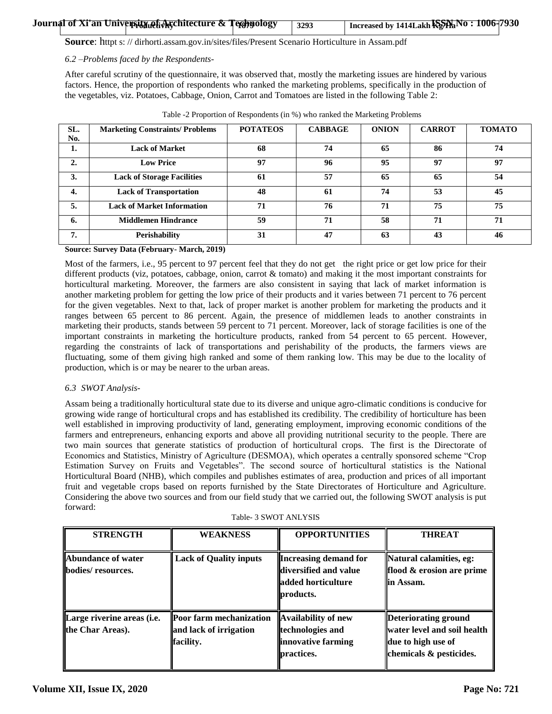|  | Journal of Xi'an University of Architecture & Tegspology | 3293 | Increased by 1414Lakh $\mathbf{K}_2^{\mathbf{S}}\mathbf{N}_3\mathbf{N}_0$ : 1006-7930 |  |
|--|----------------------------------------------------------|------|---------------------------------------------------------------------------------------|--|

**Source**: httpt s: // dirhorti.assam.gov.in/sites/files/Present Scenario Horticulture in Assam.pdf

#### *6.2 –Problems faced by the Respondents-*

After careful scrutiny of the questionnaire, it was observed that, mostly the marketing issues are hindered by various factors. Hence, the proportion of respondents who ranked the marketing problems, specifically in the production of the vegetables, viz. Potatoes, Cabbage, Onion, Carrot and Tomatoes are listed in the following Table 2:

| SL. | <b>Marketing Constraints/ Problems</b> | <b>POTATEOS</b> | <b>CABBAGE</b> | <b>ONION</b> | <b>CARROT</b> | <b>TOMATO</b> |
|-----|----------------------------------------|-----------------|----------------|--------------|---------------|---------------|
| No. |                                        |                 |                |              |               |               |
| 1.  | <b>Lack of Market</b>                  | 68              | 74             | 65           | 86            | 74            |
| 2.  | <b>Low Price</b>                       | 97              | 96             | 95           | 97            | 97            |
| 3.  | <b>Lack of Storage Facilities</b>      | 61              | 57             | 65           | 65            | 54            |
| 4.  | <b>Lack of Transportation</b>          | 48              | 61             | 74           | 53            | 45            |
| 5.  | <b>Lack of Market Information</b>      | 71              | 76             | 71           | 75            | 75            |
| 6.  | <b>Middlemen Hindrance</b>             | 59              | 71             | 58           | 71            | 71            |
| 7.  | <b>Perishability</b>                   | 31              | 47             | 63           | 43            | 46            |

Table -2 Proportion of Respondents (in %) who ranked the Marketing Problems

## **Source: Survey Data (February- March, 2019)**

Most of the farmers, i.e., 95 percent to 97 percent feel that they do not get the right price or get low price for their different products (viz, potatoes, cabbage, onion, carrot & tomato) and making it the most important constraints for horticultural marketing. Moreover, the farmers are also consistent in saying that lack of market information is another marketing problem for getting the low price of their products and it varies between 71 percent to 76 percent for the given vegetables. Next to that, lack of proper market is another problem for marketing the products and it ranges between 65 percent to 86 percent. Again, the presence of middlemen leads to another constraints in marketing their products, stands between 59 percent to 71 percent. Moreover, lack of storage facilities is one of the important constraints in marketing the horticulture products, ranked from 54 percent to 65 percent. However, regarding the constraints of lack of transportations and perishability of the products, the farmers views are fluctuating, some of them giving high ranked and some of them ranking low. This may be due to the locality of production, which is or may be nearer to the urban areas.

# *6.3 SWOT Analysis-*

Assam being a traditionally horticultural state due to its diverse and unique agro-climatic conditions is conducive for growing wide range of horticultural crops and has established its credibility. The credibility of horticulture has been well established in improving productivity of land, generating employment, improving economic conditions of the farmers and entrepreneurs, enhancing exports and above all providing nutritional security to the people. There are two main sources that generate statistics of production of horticultural crops. The first is the Directorate of Economics and Statistics, Ministry of Agriculture (DESMOA), which operates a centrally sponsored scheme "Crop Estimation Survey on Fruits and Vegetables". The second source of horticultural statistics is the National Horticultural Board (NHB), which compiles and publishes estimates of area, production and prices of all important fruit and vegetable crops based on reports furnished by the State Directorates of Horticulture and Agriculture. Considering the above two sources and from our field study that we carried out, the following SWOT analysis is put forward:

|  |  | Table- 3 SWOT ANLYSIS |
|--|--|-----------------------|
|--|--|-----------------------|

| <b>STRENGTH</b>                                        | <b>WEAKNESS</b>                                                | <b>OPPORTUNITIES</b>                                                                      | <b>THREAT</b>                                                                                          |
|--------------------------------------------------------|----------------------------------------------------------------|-------------------------------------------------------------------------------------------|--------------------------------------------------------------------------------------------------------|
| <b>Abundance of water</b><br>bodies/resources.         | <b>Lack of Quality inputs</b>                                  | <b>Increasing demand for</b><br>diversified and value<br>added horticulture<br>products.  | Natural calamities, eg:<br>flood & erosion are prime<br>lin Assam.                                     |
| Large riverine areas ( <i>i.e.</i><br>the Char Areas). | Poor farm mechanization<br>and lack of irrigation<br>facility. | <b>Availability of new</b><br>technologies and<br>innovative farming<br><b>practices.</b> | Deteriorating ground<br>  water level and soil health<br>due to high use of<br>chemicals & pesticides. |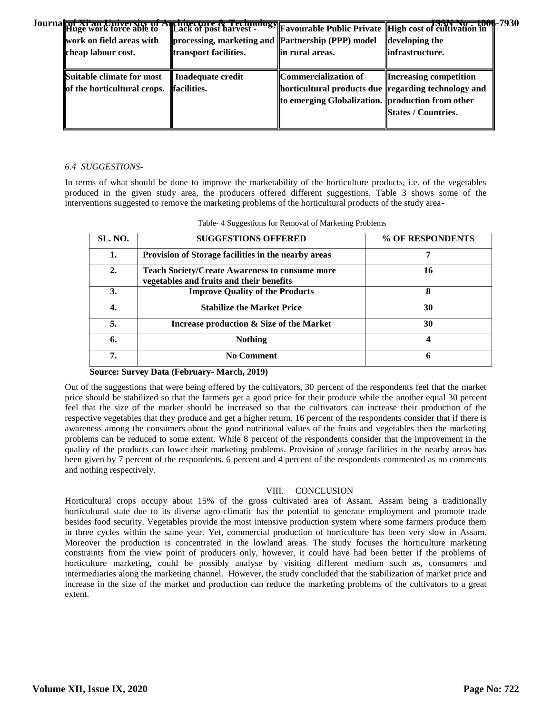| Journal <del>of Xi'an University of</del><br><b>Hûge work force able to</b> |                                                   |                                                     | <b>EXAMPLE AND THE EXAMPLE 2016</b><br>  Lack of post harvest - Integration of Public Private   High cost of cultivation in |  |
|-----------------------------------------------------------------------------|---------------------------------------------------|-----------------------------------------------------|-----------------------------------------------------------------------------------------------------------------------------|--|
| work on field areas with                                                    | processing, marketing and Partnership (PPP) model |                                                     | developing the                                                                                                              |  |
| cheap labour cost.                                                          | transport facilities.                             | lin rural areas.                                    | linfrastructure.                                                                                                            |  |
|                                                                             |                                                   |                                                     |                                                                                                                             |  |
| Suitable climate for most                                                   | Inadequate credit                                 | Commercialization of                                | <b>Increasing competition</b>                                                                                               |  |
| of the horticultural crops.                                                 | <b>facilities.</b>                                | horticultural products due regarding technology and |                                                                                                                             |  |
|                                                                             |                                                   | to emerging Globalization. production from other    |                                                                                                                             |  |
|                                                                             |                                                   |                                                     | <b>States / Countries.</b>                                                                                                  |  |
|                                                                             |                                                   |                                                     |                                                                                                                             |  |

## *6.4 SUGGESTIONS-*

In terms of what should be done to improve the marketability of the horticulture products, i.e. of the vegetables produced in the given study area, the producers offered different suggestions. Table 3 shows some of the interventions suggested to remove the marketing problems of the horticultural products of the study area-

| <b>SL. NO.</b>   | <b>SUGGESTIONS OFFERED</b>                                                                        | % OF RESPONDENTS |
|------------------|---------------------------------------------------------------------------------------------------|------------------|
| 1.               | Provision of Storage facilities in the nearby areas                                               |                  |
| $\overline{2}$ . | <b>Teach Society/Create Awareness to consume more</b><br>vegetables and fruits and their benefits | 16               |
| 3.               | <b>Improve Quality of the Products</b>                                                            | 8                |
| 4.               | <b>Stabilize the Market Price</b>                                                                 | 30               |
| 5.               | Increase production & Size of the Market                                                          | 30               |
| 6.               | <b>Nothing</b>                                                                                    |                  |
| 7.               | <b>No Comment</b>                                                                                 | h                |

| Table- 4 Suggestions for Removal of Marketing Problems |  |  |
|--------------------------------------------------------|--|--|
|                                                        |  |  |

## **Source: Survey Data (February- March, 2019)**

Out of the suggestions that were being offered by the cultivators, 30 percent of the respondents feel that the market price should be stabilized so that the farmers get a good price for their produce while the another equal 30 percent feel that the size of the market should be increased so that the cultivators can increase their production of the respective vegetables that they produce and get a higher return. 16 percent of the respondents consider that if there is awareness among the consumers about the good nutritional values of the fruits and vegetables then the marketing problems can be reduced to some extent. While 8 percent of the respondents consider that the improvement in the quality of the products can lower their marketing problems. Provision of storage facilities in the nearby areas has been given by 7 percent of the respondents. 6 percent and 4 percent of the respondents commented as no comments and nothing respectively.

# VIII. CONCLUSION

Horticultural crops occupy about 15% of the gross cultivated area of Assam. Assam being a traditionally horticultural state due to its diverse agro-climatic has the potential to generate employment and promote trade besides food security. Vegetables provide the most intensive production system where some farmers produce them in three cycles within the same year. Yet, commercial production of horticulture has been very slow in Assam. Moreover the production is concentrated in the lowland areas. The study focuses the horticulture marketing constraints from the view point of producers only, however, it could have had been better if the problems of horticulture marketing, could be possibly analyse by visiting different medium such as, consumers and intermediaries along the marketing channel. However, the study concluded that the stabilization of market price and increase in the size of the market and production can reduce the marketing problems of the cultivators to a great extent.